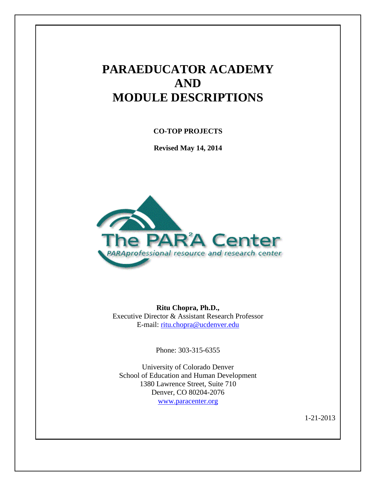# **PARAEDUCATOR ACADEMY AND MODULE DESCRIPTIONS**

**CO-TOP PROJECTS**

**Revised May 14, 2014**



**Ritu Chopra, Ph.D.,** Executive Director & Assistant Research Professor E-mail: [ritu.chopra@ucdenver.edu](mailto:ritu.chopra@ucdenver.edu)

Phone: 303-315-6355

University of Colorado Denver School of Education and Human Development 1380 Lawrence Street, Suite 710 Denver, CO 80204-2076 [www.paracenter.org](http://www.paracenter.org/)

1-21-2013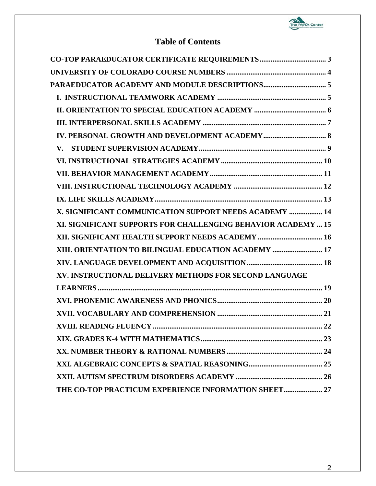

## **Table of Contents**

| X. SIGNIFICANT COMMUNICATION SUPPORT NEEDS ACADEMY  14        |
|---------------------------------------------------------------|
| XI. SIGNIFICANT SUPPORTS FOR CHALLENGING BEHAVIOR ACADEMY  15 |
| XII. SIGNIFICANT HEALTH SUPPORT NEEDS ACADEMY  16             |
| XIII. ORIENTATION TO BILINGUAL EDUCATION ACADEMY  17          |
|                                                               |
| XV. INSTRUCTIONAL DELIVERY METHODS FOR SECOND LANGUAGE        |
|                                                               |
|                                                               |
|                                                               |
|                                                               |
|                                                               |
|                                                               |
|                                                               |
|                                                               |
| THE CO-TOP PRACTICUM EXPERIENCE INFORMATION SHEET 27          |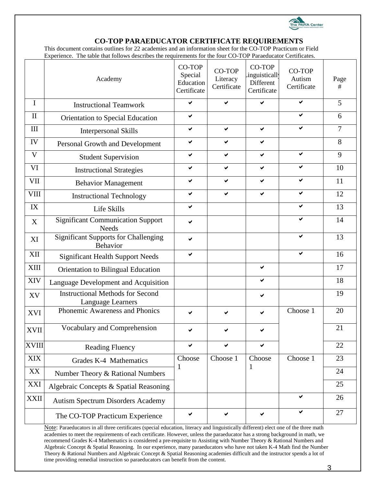

#### **CO-TOP PARAEDUCATOR CERTIFICATE REQUIREMENTS**

<span id="page-2-0"></span>This document contains outlines for 22 academies and an information sheet for the CO-TOP Practicum or Field Experience. The table that follows describes the requirements for the four CO-TOP Paraeducator Certificates.

|              | Academy                                                      | CO-TOP<br>Special<br>Education<br>Certificate | CO-TOP<br>Literacy<br>Certificate | CO-TOP<br>inguistically<br>Different<br>Certificate | CO-TOP<br>Autism<br>Certificate | Page<br>#      |
|--------------|--------------------------------------------------------------|-----------------------------------------------|-----------------------------------|-----------------------------------------------------|---------------------------------|----------------|
| I            | <b>Instructional Teamwork</b>                                | ✔                                             | ✔                                 | ✔                                                   | ✔                               | 5              |
| $\mathbf{I}$ | <b>Orientation to Special Education</b>                      | ✔                                             |                                   |                                                     | ✔                               | 6              |
| III          | <b>Interpersonal Skills</b>                                  | ✔                                             | ✔                                 | ✔                                                   | ✓                               | $\overline{7}$ |
| IV           | Personal Growth and Development                              | ✔                                             | ✔                                 | ✔                                                   |                                 | 8              |
| V            | <b>Student Supervision</b>                                   | ✔                                             | ✔                                 | ✔                                                   | ✔                               | 9              |
| VI           | <b>Instructional Strategies</b>                              | ✔                                             | ✔                                 | ✔                                                   | ✔                               | 10             |
| VII          | <b>Behavior Management</b>                                   | ✔                                             | ✔                                 | ✔                                                   | ✔                               | 11             |
| <b>VIII</b>  | <b>Instructional Technology</b>                              | ✔                                             | ✔                                 | ✔                                                   | ✔                               | 12             |
| IX           | Life Skills                                                  | ✔                                             |                                   |                                                     | ✔                               | 13             |
| X            | <b>Significant Communication Support</b><br><b>Needs</b>     | ✔                                             |                                   |                                                     | ✔                               | 14             |
| XI           | <b>Significant Supports for Challenging</b><br>Behavior      | ✔                                             |                                   |                                                     | ✔                               | 13             |
| XII          | <b>Significant Health Support Needs</b>                      | ✔                                             |                                   |                                                     | ✔                               | 16             |
| <b>XIII</b>  | Orientation to Bilingual Education                           |                                               |                                   | ✔                                                   |                                 | 17             |
| <b>XIV</b>   | Language Development and Acquisition                         |                                               |                                   | ✔                                                   |                                 | 18             |
| XV           | <b>Instructional Methods for Second</b><br>Language Learners |                                               |                                   | ✔                                                   |                                 | 19             |
| <b>XVI</b>   | Phonemic Awareness and Phonics                               | ✔                                             |                                   | ✔                                                   | Choose 1                        | 20             |
| <b>XVII</b>  | Vocabulary and Comprehension                                 | ✔                                             |                                   | ✔                                                   |                                 | 21             |
| XVIII        | <b>Reading Fluency</b>                                       | ✓                                             | ✓                                 | ✓                                                   |                                 | 22             |
| <b>XIX</b>   | Grades K-4 Mathematics                                       | Choose                                        | Choose 1                          | Choose                                              | Choose 1                        | 23             |
| XX           | Number Theory & Rational Numbers                             | 1                                             |                                   | 1                                                   |                                 | 24             |
| XXI          | Algebraic Concepts & Spatial Reasoning                       |                                               |                                   |                                                     |                                 | 25             |
| <b>XXII</b>  | <b>Autism Spectrum Disorders Academy</b>                     |                                               |                                   |                                                     | ✔                               | 26             |
|              | The CO-TOP Practicum Experience                              | ✔                                             | ✔                                 | $\checkmark$                                        | ✔                               | 27             |

Note: Paraeducators in all three certificates (special education, literacy and linguistically different) elect one of the three math academies to meet the requirements of each certificate. However, unless the paraeducator has a strong background in math, we recommend Grades K-4 Mathematics is considered a pre-requisite to Assisting with Number Theory & Rational Numbers and Algebraic Concept & Spatial Reasoning. In our experience, many paraeducators who have not taken K-4 Math find the Number Theory & Rational Numbers and Algebraic Concept & Spatial Reasoning academies difficult and the instructor spends a lot of time providing remedial instruction so paraeducators can benefit from the content.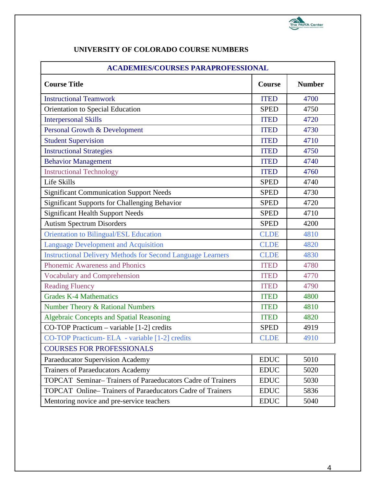

| <b>ACADEMIES/COURSES PARAPROFESSIONAL</b>                          |             |               |  |  |  |  |
|--------------------------------------------------------------------|-------------|---------------|--|--|--|--|
| <b>Course Title</b>                                                |             | <b>Number</b> |  |  |  |  |
| <b>Instructional Teamwork</b>                                      | <b>ITED</b> | 4700          |  |  |  |  |
| Orientation to Special Education                                   | <b>SPED</b> | 4750          |  |  |  |  |
| <b>Interpersonal Skills</b>                                        | <b>ITED</b> | 4720          |  |  |  |  |
| Personal Growth & Development                                      | <b>ITED</b> | 4730          |  |  |  |  |
| <b>Student Supervision</b>                                         | <b>ITED</b> | 4710          |  |  |  |  |
| <b>Instructional Strategies</b>                                    | <b>ITED</b> | 4750          |  |  |  |  |
| <b>Behavior Management</b>                                         | <b>ITED</b> | 4740          |  |  |  |  |
| <b>Instructional Technology</b>                                    | <b>ITED</b> | 4760          |  |  |  |  |
| Life Skills                                                        | <b>SPED</b> | 4740          |  |  |  |  |
| <b>Significant Communication Support Needs</b>                     | <b>SPED</b> | 4730          |  |  |  |  |
| <b>Significant Supports for Challenging Behavior</b>               | <b>SPED</b> | 4720          |  |  |  |  |
| <b>Significant Health Support Needs</b>                            | <b>SPED</b> | 4710          |  |  |  |  |
| <b>Autism Spectrum Disorders</b>                                   | <b>SPED</b> | 4200          |  |  |  |  |
| <b>Orientation to Bilingual/ESL Education</b>                      | <b>CLDE</b> | 4810          |  |  |  |  |
| <b>Language Development and Acquisition</b>                        | <b>CLDE</b> | 4820          |  |  |  |  |
| <b>Instructional Delivery Methods for Second Language Learners</b> | <b>CLDE</b> | 4830          |  |  |  |  |
| Phonemic Awareness and Phonics                                     | <b>ITED</b> | 4780          |  |  |  |  |
| <b>Vocabulary and Comprehension</b>                                | <b>ITED</b> | 4770          |  |  |  |  |
| <b>Reading Fluency</b>                                             | <b>ITED</b> | 4790          |  |  |  |  |
| <b>Grades K-4 Mathematics</b>                                      | <b>ITED</b> | 4800          |  |  |  |  |
| <b>Number Theory &amp; Rational Numbers</b>                        | <b>ITED</b> | 4810          |  |  |  |  |
| <b>Algebraic Concepts and Spatial Reasoning</b>                    | <b>ITED</b> | 4820          |  |  |  |  |
| CO-TOP Practicum - variable [1-2] credits                          | <b>SPED</b> | 4919          |  |  |  |  |
| CO-TOP Practicum- ELA - variable [1-2] credits                     | <b>CLDE</b> | 4910          |  |  |  |  |
| <b>COURSES FOR PROFESSIONALS</b>                                   |             |               |  |  |  |  |
| Paraeducator Supervision Academy                                   | <b>EDUC</b> | 5010          |  |  |  |  |
| <b>Trainers of Paraeducators Academy</b>                           | <b>EDUC</b> | 5020          |  |  |  |  |
| <b>TOPCAT</b> Seminar–Trainers of Paraeducators Cadre of Trainers  |             | 5030          |  |  |  |  |
| TOPCAT Online-Trainers of Paraeducators Cadre of Trainers          | <b>EDUC</b> | 5836          |  |  |  |  |
| Mentoring novice and pre-service teachers                          | <b>EDUC</b> | 5040          |  |  |  |  |

## <span id="page-3-0"></span>**UNIVERSITY OF COLORADO COURSE NUMBERS**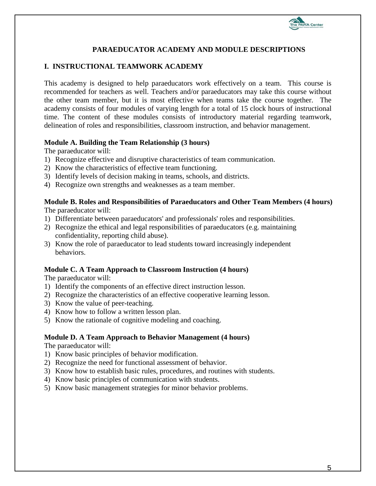

## **PARAEDUCATOR ACADEMY AND MODULE DESCRIPTIONS**

### <span id="page-4-1"></span><span id="page-4-0"></span>**I. INSTRUCTIONAL TEAMWORK ACADEMY**

This academy is designed to help paraeducators work effectively on a team. This course is recommended for teachers as well. Teachers and/or paraeducators may take this course without the other team member, but it is most effective when teams take the course together. The academy consists of four modules of varying length for a total of 15 clock hours of instructional time. The content of these modules consists of introductory material regarding teamwork, delineation of roles and responsibilities, classroom instruction, and behavior management.

#### **Module A. Building the Team Relationship (3 hours)**

The paraeducator will:

- 1) Recognize effective and disruptive characteristics of team communication.
- 2) Know the characteristics of effective team functioning.
- 3) Identify levels of decision making in teams, schools, and districts.
- 4) Recognize own strengths and weaknesses as a team member.

#### **Module B. Roles and Responsibilities of Paraeducators and Other Team Members (4 hours)**  The paraeducator will:

- 1) Differentiate between paraeducators' and professionals' roles and responsibilities.
- 2) Recognize the ethical and legal responsibilities of paraeducators (e.g. maintaining confidentiality, reporting child abuse).
- 3) Know the role of paraeducator to lead students toward increasingly independent behaviors.

#### **Module C. A Team Approach to Classroom Instruction (4 hours)**

The paraeducator will:

- 1) Identify the components of an effective direct instruction lesson.
- 2) Recognize the characteristics of an effective cooperative learning lesson.
- 3) Know the value of peer-teaching.
- 4) Know how to follow a written lesson plan.
- 5) Know the rationale of cognitive modeling and coaching.

#### **Module D. A Team Approach to Behavior Management (4 hours)**

- 1) Know basic principles of behavior modification.
- 2) Recognize the need for functional assessment of behavior.
- 3) Know how to establish basic rules, procedures, and routines with students.
- 4) Know basic principles of communication with students.
- 5) Know basic management strategies for minor behavior problems.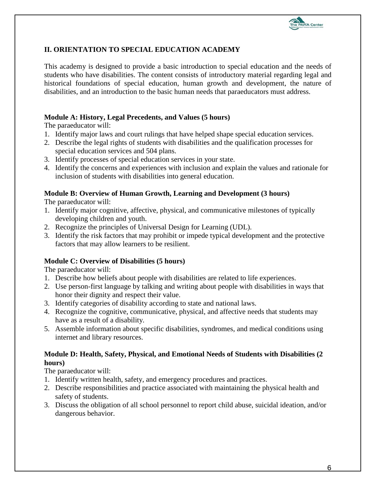

## <span id="page-5-0"></span>**II. ORIENTATION TO SPECIAL EDUCATION ACADEMY**

This academy is designed to provide a basic introduction to special education and the needs of students who have disabilities. The content consists of introductory material regarding legal and historical foundations of special education, human growth and development, the nature of disabilities, and an introduction to the basic human needs that paraeducators must address.

### **Module A: History, Legal Precedents, and Values (5 hours)**

The paraeducator will:

- 1. Identify major laws and court rulings that have helped shape special education services.
- 2. Describe the legal rights of students with disabilities and the qualification processes for special education services and 504 plans.
- 3. Identify processes of special education services in your state.
- 4. Identify the concerns and experiences with inclusion and explain the values and rationale for inclusion of students with disabilities into general education.

### **Module B: Overview of Human Growth, Learning and Development (3 hours)**

The paraeducator will:

- 1. Identify major cognitive, affective, physical, and communicative milestones of typically developing children and youth.
- 2. Recognize the principles of Universal Design for Learning (UDL).
- 3. Identify the risk factors that may prohibit or impede typical development and the protective factors that may allow learners to be resilient.

## **Module C: Overview of Disabilities (5 hours)**

The paraeducator will:

- 1. Describe how beliefs about people with disabilities are related to life experiences.
- 2. Use person-first language by talking and writing about people with disabilities in ways that honor their dignity and respect their value.
- 3. Identify categories of disability according to state and national laws.
- 4. Recognize the cognitive, communicative, physical, and affective needs that students may have as a result of a disability.
- 5. Assemble information about specific disabilities, syndromes, and medical conditions using internet and library resources.

#### **Module D: Health, Safety, Physical, and Emotional Needs of Students with Disabilities (2 hours)**

- 1. Identify written health, safety, and emergency procedures and practices.
- 2. Describe responsibilities and practice associated with maintaining the physical health and safety of students.
- 3. Discuss the obligation of all school personnel to report child abuse, suicidal ideation, and/or dangerous behavior.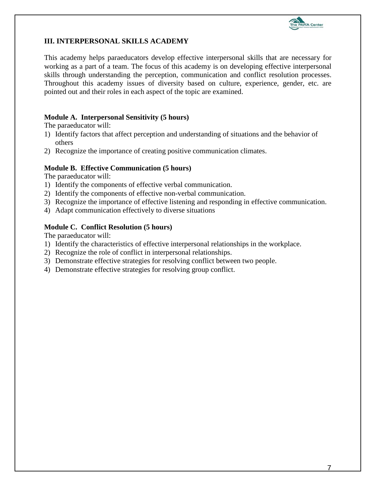

## <span id="page-6-0"></span>**III. INTERPERSONAL SKILLS ACADEMY**

This academy helps paraeducators develop effective interpersonal skills that are necessary for working as a part of a team. The focus of this academy is on developing effective interpersonal skills through understanding the perception, communication and conflict resolution processes. Throughout this academy issues of diversity based on culture, experience, gender, etc. are pointed out and their roles in each aspect of the topic are examined.

#### **Module A. Interpersonal Sensitivity (5 hours)**

The paraeducator will:

- 1) Identify factors that affect perception and understanding of situations and the behavior of others
- 2) Recognize the importance of creating positive communication climates.

#### **Module B. Effective Communication (5 hours)**

The paraeducator will:

- 1) Identify the components of effective verbal communication.
- 2) Identify the components of effective non-verbal communication.
- 3) Recognize the importance of effective listening and responding in effective communication.
- 4) Adapt communication effectively to diverse situations

#### **Module C. Conflict Resolution (5 hours)**

- 1) Identify the characteristics of effective interpersonal relationships in the workplace.
- 2) Recognize the role of conflict in interpersonal relationships.
- 3) Demonstrate effective strategies for resolving conflict between two people.
- 4) Demonstrate effective strategies for resolving group conflict.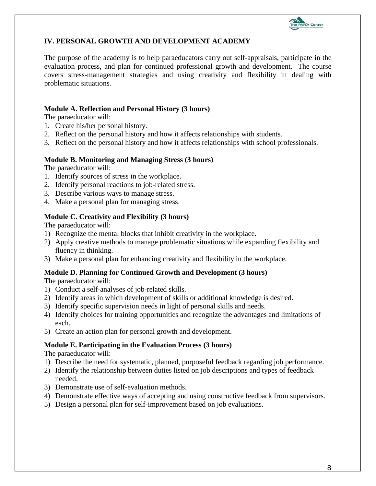

## <span id="page-7-0"></span>**IV. PERSONAL GROWTH AND DEVELOPMENT ACADEMY**

The purpose of the academy is to help paraeducators carry out self-appraisals, participate in the evaluation process, and plan for continued professional growth and development. The course covers stress-management strategies and using creativity and flexibility in dealing with problematic situations.

#### **Module A. Reflection and Personal History (3 hours)**

The paraeducator will:

- 1. Create his/her personal history.
- 2. Reflect on the personal history and how it affects relationships with students.
- 3. Reflect on the personal history and how it affects relationships with school professionals.

### **Module B. Monitoring and Managing Stress (3 hours)**

The paraeducator will:

- 1. Identify sources of stress in the workplace.
- 2. Identify personal reactions to job-related stress.
- 3. Describe various ways to manage stress.
- 4. Make a personal plan for managing stress.

## **Module C. Creativity and Flexibility (3 hours)**

The paraeducator will:

- 1) Recognize the mental blocks that inhibit creativity in the workplace.
- 2) Apply creative methods to manage problematic situations while expanding flexibility and fluency in thinking.
- 3) Make a personal plan for enhancing creativity and flexibility in the workplace.

## **Module D. Planning for Continued Growth and Development (3 hours)**

The paraeducator will:

- 1) Conduct a self-analyses of job-related skills.
- 2) Identify areas in which development of skills or additional knowledge is desired.
- 3) Identify specific supervision needs in light of personal skills and needs.
- 4) Identify choices for training opportunities and recognize the advantages and limitations of each.
- 5) Create an action plan for personal growth and development.

#### **Module E. Participating in the Evaluation Process (3 hours)**

- 1) Describe the need for systematic, planned, purposeful feedback regarding job performance.
- 2) Identify the relationship between duties listed on job descriptions and types of feedback needed.
- 3) Demonstrate use of self-evaluation methods.
- 4) Demonstrate effective ways of accepting and using constructive feedback from supervisors.
- 5) Design a personal plan for self-improvement based on job evaluations.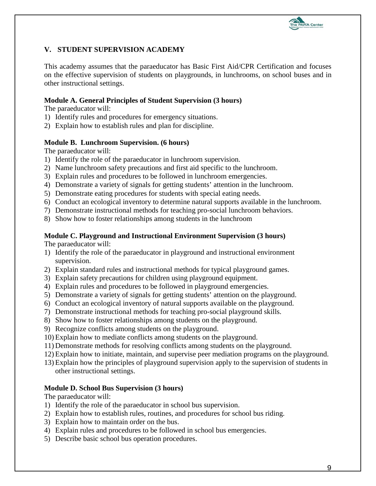

## <span id="page-8-0"></span>**V. STUDENT SUPERVISION ACADEMY**

This academy assumes that the paraeducator has Basic First Aid/CPR Certification and focuses on the effective supervision of students on playgrounds, in lunchrooms, on school buses and in other instructional settings.

#### **Module A. General Principles of Student Supervision (3 hours)**

The paraeducator will:

- 1) Identify rules and procedures for emergency situations.
- 2) Explain how to establish rules and plan for discipline.

#### **Module B. Lunchroom Supervision. (6 hours)**

The paraeducator will:

- 1) Identify the role of the paraeducator in lunchroom supervision.
- 2) Name lunchroom safety precautions and first aid specific to the lunchroom.
- 3) Explain rules and procedures to be followed in lunchroom emergencies.
- 4) Demonstrate a variety of signals for getting students' attention in the lunchroom.
- 5) Demonstrate eating procedures for students with special eating needs.
- 6) Conduct an ecological inventory to determine natural supports available in the lunchroom.
- 7) Demonstrate instructional methods for teaching pro-social lunchroom behaviors.
- 8) Show how to foster relationships among students in the lunchroom

#### **Module C. Playground and Instructional Environment Supervision (3 hours)**

The paraeducator will:

- 1) Identify the role of the paraeducator in playground and instructional environment supervision.
- 2) Explain standard rules and instructional methods for typical playground games.
- 3) Explain safety precautions for children using playground equipment.
- 4) Explain rules and procedures to be followed in playground emergencies.
- 5) Demonstrate a variety of signals for getting students' attention on the playground.
- 6) Conduct an ecological inventory of natural supports available on the playground.
- 7) Demonstrate instructional methods for teaching pro-social playground skills.
- 8) Show how to foster relationships among students on the playground.
- 9) Recognize conflicts among students on the playground.
- 10) Explain how to mediate conflicts among students on the playground.
- 11) Demonstrate methods for resolving conflicts among students on the playground.
- 12) Explain how to initiate, maintain, and supervise peer mediation programs on the playground.
- 13) Explain how the principles of playground supervision apply to the supervision of students in other instructional settings.

#### **Module D. School Bus Supervision (3 hours)**

- 1) Identify the role of the paraeducator in school bus supervision.
- 2) Explain how to establish rules, routines, and procedures for school bus riding.
- 3) Explain how to maintain order on the bus.
- 4) Explain rules and procedures to be followed in school bus emergencies.
- <span id="page-8-1"></span>5) Describe basic school bus operation procedures.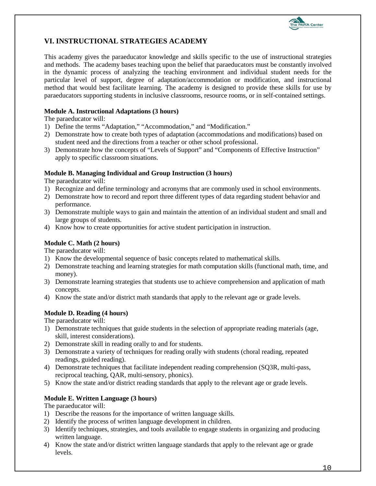

## <span id="page-9-0"></span>**VI. INSTRUCTIONAL STRATEGIES ACADEMY**

This academy gives the paraeducator knowledge and skills specific to the use of instructional strategies and methods. The academy bases teaching upon the belief that paraeducators must be constantly involved in the dynamic process of analyzing the teaching environment and individual student needs for the particular level of support, degree of adaptation/accommodation or modification, and instructional method that would best facilitate learning. The academy is designed to provide these skills for use by paraeducators supporting students in inclusive classrooms, resource rooms, or in self-contained settings.

#### **Module A. Instructional Adaptations (3 hours)**

The paraeducator will:

- 1) Define the terms "Adaptation," "Accommodation," and "Modification."
- 2) Demonstrate how to create both types of adaptation (accommodations and modifications) based on student need and the directions from a teacher or other school professional.
- 3) Demonstrate how the concepts of "Levels of Support" and "Components of Effective Instruction" apply to specific classroom situations.

#### **Module B. Managing Individual and Group Instruction (3 hours)**

The paraeducator will:

- 1) Recognize and define terminology and acronyms that are commonly used in school environments.
- 2) Demonstrate how to record and report three different types of data regarding student behavior and performance.
- 3) Demonstrate multiple ways to gain and maintain the attention of an individual student and small and large groups of students.
- 4) Know how to create opportunities for active student participation in instruction.

### **Module C. Math (2 hours)**

The paraeducator will:

- 1) Know the developmental sequence of basic concepts related to mathematical skills.
- 2) Demonstrate teaching and learning strategies for math computation skills (functional math, time, and money).
- 3) Demonstrate learning strategies that students use to achieve comprehension and application of math concepts.
- 4) Know the state and/or district math standards that apply to the relevant age or grade levels.

#### **Module D. Reading (4 hours)**

The paraeducator will:

- 1) Demonstrate techniques that guide students in the selection of appropriate reading materials (age, skill, interest considerations).
- 2) Demonstrate skill in reading orally to and for students.
- 3) Demonstrate a variety of techniques for reading orally with students (choral reading, repeated readings, guided reading).
- 4) Demonstrate techniques that facilitate independent reading comprehension (SQ3R, multi-pass, reciprocal teaching, QAR, multi-sensory, phonics).
- 5) Know the state and/or district reading standards that apply to the relevant age or grade levels.

#### **Module E. Written Language (3 hours)**

- 1) Describe the reasons for the importance of written language skills.
- 2) Identify the process of written language development in children.
- 3) Identify techniques, strategies, and tools available to engage students in organizing and producing written language.
- 4) Know the state and/or district written language standards that apply to the relevant age or grade levels.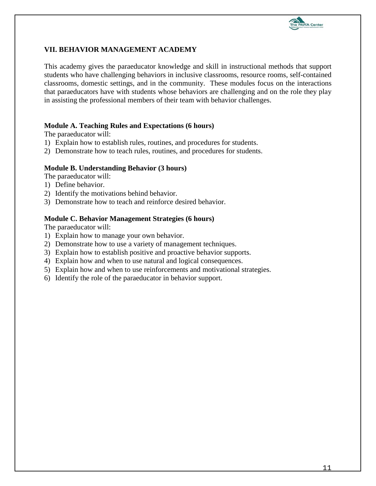

## <span id="page-10-0"></span>**VII. BEHAVIOR MANAGEMENT ACADEMY**

This academy gives the paraeducator knowledge and skill in instructional methods that support students who have challenging behaviors in inclusive classrooms, resource rooms, self-contained classrooms, domestic settings, and in the community. These modules focus on the interactions that paraeducators have with students whose behaviors are challenging and on the role they play in assisting the professional members of their team with behavior challenges.

#### **Module A. Teaching Rules and Expectations (6 hours)**

The paraeducator will:

- 1) Explain how to establish rules, routines, and procedures for students.
- 2) Demonstrate how to teach rules, routines, and procedures for students.

#### **Module B. Understanding Behavior (3 hours)**

The paraeducator will:

- 1) Define behavior.
- 2) Identify the motivations behind behavior.
- 3) Demonstrate how to teach and reinforce desired behavior.

#### **Module C. Behavior Management Strategies (6 hours)**

- 1) Explain how to manage your own behavior.
- 2) Demonstrate how to use a variety of management techniques.
- 3) Explain how to establish positive and proactive behavior supports.
- 4) Explain how and when to use natural and logical consequences.
- 5) Explain how and when to use reinforcements and motivational strategies.
- 6) Identify the role of the paraeducator in behavior support.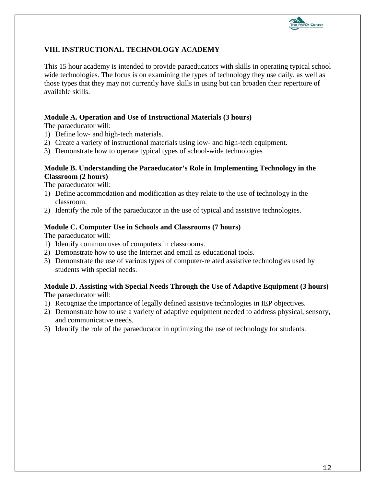

## <span id="page-11-0"></span>**VIII. INSTRUCTIONAL TECHNOLOGY ACADEMY**

This 15 hour academy is intended to provide paraeducators with skills in operating typical school wide technologies. The focus is on examining the types of technology they use daily, as well as those types that they may not currently have skills in using but can broaden their repertoire of available skills.

#### **Module A. Operation and Use of Instructional Materials (3 hours)**

The paraeducator will:

- 1) Define low- and high-tech materials.
- 2) Create a variety of instructional materials using low- and high-tech equipment.
- 3) Demonstrate how to operate typical types of school-wide technologies

#### **Module B. Understanding the Paraeducator's Role in Implementing Technology in the Classroom (2 hours)**

The paraeducator will:

- 1) Define accommodation and modification as they relate to the use of technology in the classroom.
- 2) Identify the role of the paraeducator in the use of typical and assistive technologies.

#### **Module C. Computer Use in Schools and Classrooms (7 hours)**

The paraeducator will:

- 1) Identify common uses of computers in classrooms.
- 2) Demonstrate how to use the Internet and email as educational tools.
- 3) Demonstrate the use of various types of computer-related assistive technologies used by students with special needs.

## **Module D. Assisting with Special Needs Through the Use of Adaptive Equipment (3 hours)**

- 1) Recognize the importance of legally defined assistive technologies in IEP objectives.
- 2) Demonstrate how to use a variety of adaptive equipment needed to address physical, sensory, and communicative needs.
- 3) Identify the role of the paraeducator in optimizing the use of technology for students.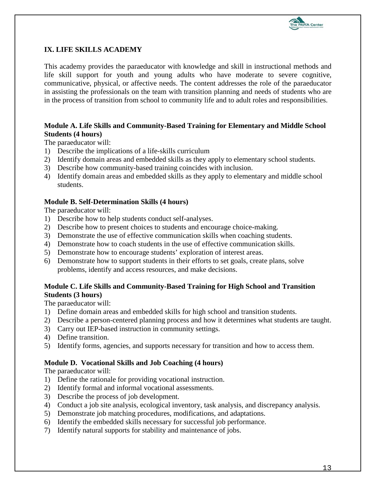

## <span id="page-12-0"></span>**IX. LIFE SKILLS ACADEMY**

This academy provides the paraeducator with knowledge and skill in instructional methods and life skill support for youth and young adults who have moderate to severe cognitive, communicative, physical, or affective needs. The content addresses the role of the paraeducator in assisting the professionals on the team with transition planning and needs of students who are in the process of transition from school to community life and to adult roles and responsibilities.

## **Module A. Life Skills and Community-Based Training for Elementary and Middle School Students (4 hours)**

The paraeducator will:

- 1) Describe the implications of a life-skills curriculum
- 2) Identify domain areas and embedded skills as they apply to elementary school students.
- 3) Describe how community-based training coincides with inclusion.
- 4) Identify domain areas and embedded skills as they apply to elementary and middle school students.

#### **Module B. Self-Determination Skills (4 hours)**

The paraeducator will:

- 1) Describe how to help students conduct self-analyses.
- 2) Describe how to present choices to students and encourage choice-making.
- 3) Demonstrate the use of effective communication skills when coaching students.
- 4) Demonstrate how to coach students in the use of effective communication skills.
- 5) Demonstrate how to encourage students' exploration of interest areas.
- 6) Demonstrate how to support students in their efforts to set goals, create plans, solve problems, identify and access resources, and make decisions.

### **Module C. Life Skills and Community-Based Training for High School and Transition Students (3 hours)**

The paraeducator will:

- 1) Define domain areas and embedded skills for high school and transition students.
- 2) Describe a person-centered planning process and how it determines what students are taught.
- 3) Carry out IEP-based instruction in community settings.
- 4) Define transition.
- 5) Identify forms, agencies, and supports necessary for transition and how to access them.

#### **Module D. Vocational Skills and Job Coaching (4 hours)**

- 1) Define the rationale for providing vocational instruction.
- 2) Identify formal and informal vocational assessments.
- 3) Describe the process of job development.
- 4) Conduct a job site analysis, ecological inventory, task analysis, and discrepancy analysis.
- 5) Demonstrate job matching procedures, modifications, and adaptations.
- 6) Identify the embedded skills necessary for successful job performance.
- 7) Identify natural supports for stability and maintenance of jobs.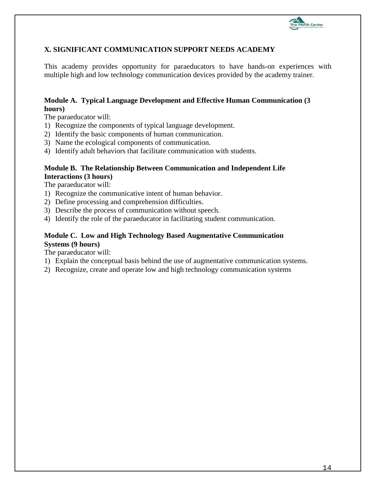

## <span id="page-13-0"></span>**X. SIGNIFICANT COMMUNICATION SUPPORT NEEDS ACADEMY**

This academy provides opportunity for paraeducators to have hands-on experiences with multiple high and low technology communication devices provided by the academy trainer.

## **Module A. Typical Language Development and Effective Human Communication (3 hours)**

The paraeducator will:

- 1) Recognize the components of typical language development.
- 2) Identify the basic components of human communication.
- 3) Name the ecological components of communication.
- 4) Identify adult behaviors that facilitate communication with students.

#### **Module B. The Relationship Between Communication and Independent Life Interactions (3 hours)**

The paraeducator will:

- 1) Recognize the communicative intent of human behavior.
- 2) Define processing and comprehension difficulties.
- 3) Describe the process of communication without speech.
- 4) Identify the role of the paraeducator in facilitating student communication.

## **Module C. Low and High Technology Based Augmentative Communication Systems (9 hours)**

- 1) Explain the conceptual basis behind the use of augmentative communication systems.
- 2) Recognize, create and operate low and high technology communication systems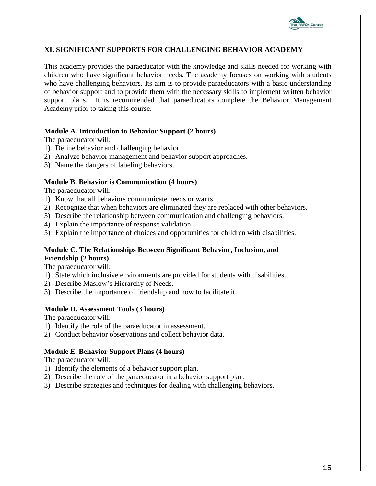

## <span id="page-14-0"></span>**XI. SIGNIFICANT SUPPORTS FOR CHALLENGING BEHAVIOR ACADEMY**

This academy provides the paraeducator with the knowledge and skills needed for working with children who have significant behavior needs. The academy focuses on working with students who have challenging behaviors. Its aim is to provide paraeducators with a basic understanding of behavior support and to provide them with the necessary skills to implement written behavior support plans. It is recommended that paraeducators complete the Behavior Management Academy prior to taking this course.

#### **Module A. Introduction to Behavior Support (2 hours)**

The paraeducator will:

- 1) Define behavior and challenging behavior.
- 2) Analyze behavior management and behavior support approaches.
- 3) Name the dangers of labeling behaviors.

#### **Module B. Behavior is Communication (4 hours)**

The paraeducator will:

- 1) Know that all behaviors communicate needs or wants.
- 2) Recognize that when behaviors are eliminated they are replaced with other behaviors.
- 3) Describe the relationship between communication and challenging behaviors.
- 4) Explain the importance of response validation.
- 5) Explain the importance of choices and opportunities for children with disabilities.

#### **Module C. The Relationships Between Significant Behavior, Inclusion, and Friendship (2 hours)**

The paraeducator will:

- 1) State which inclusive environments are provided for students with disabilities.
- 2) Describe Maslow's Hierarchy of Needs.
- 3) Describe the importance of friendship and how to facilitate it.

#### **Module D. Assessment Tools (3 hours)**

The paraeducator will:

- 1) Identify the role of the paraeducator in assessment.
- 2) Conduct behavior observations and collect behavior data.

#### **Module E. Behavior Support Plans (4 hours)**

- 1) Identify the elements of a behavior support plan.
- 2) Describe the role of the paraeducator in a behavior support plan.
- 3) Describe strategies and techniques for dealing with challenging behaviors.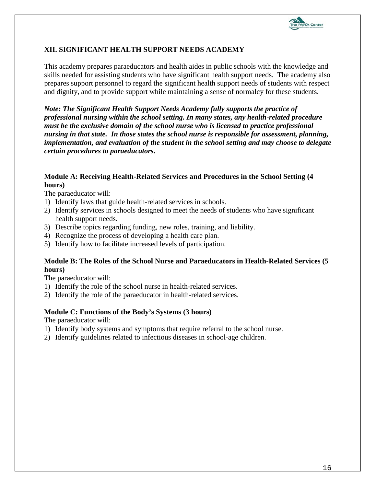

## <span id="page-15-0"></span>**XII. SIGNIFICANT HEALTH SUPPORT NEEDS ACADEMY**

This academy prepares paraeducators and health aides in public schools with the knowledge and skills needed for assisting students who have significant health support needs. The academy also prepares support personnel to regard the significant health support needs of students with respect and dignity, and to provide support while maintaining a sense of normalcy for these students.

*Note: The Significant Health Support Needs Academy fully supports the practice of professional nursing within the school setting. In many states, any health-related procedure must be the exclusive domain of the school nurse who is licensed to practice professional nursing in that state. In those states the school nurse is responsible for assessment, planning, implementation, and evaluation of the student in the school setting and may choose to delegate certain procedures to paraeducators.* 

### **Module A: Receiving Health-Related Services and Procedures in the School Setting (4 hours)**

The paraeducator will:

- 1) Identify laws that guide health-related services in schools.
- 2) Identify services in schools designed to meet the needs of students who have significant health support needs.
- 3) Describe topics regarding funding, new roles, training, and liability.
- 4) Recognize the process of developing a health care plan.
- 5) Identify how to facilitate increased levels of participation.

#### **Module B: The Roles of the School Nurse and Paraeducators in Health-Related Services (5 hours)**

The paraeducator will:

- 1) Identify the role of the school nurse in health-related services.
- 2) Identify the role of the paraeducator in health-related services.

#### **Module C: Functions of the Body's Systems (3 hours)**

- 1) Identify body systems and symptoms that require referral to the school nurse.
- 2) Identify guidelines related to infectious diseases in school-age children.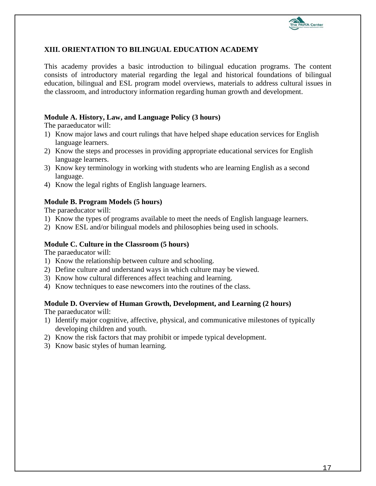

## <span id="page-16-0"></span>**XIII. ORIENTATION TO BILINGUAL EDUCATION ACADEMY**

This academy provides a basic introduction to bilingual education programs. The content consists of introductory material regarding the legal and historical foundations of bilingual education, bilingual and ESL program model overviews, materials to address cultural issues in the classroom, and introductory information regarding human growth and development.

#### **Module A. History, Law, and Language Policy (3 hours)**

The paraeducator will:

- 1) Know major laws and court rulings that have helped shape education services for English language learners.
- 2) Know the steps and processes in providing appropriate educational services for English language learners.
- 3) Know key terminology in working with students who are learning English as a second language.
- 4) Know the legal rights of English language learners.

### **Module B. Program Models (5 hours)**

The paraeducator will:

- 1) Know the types of programs available to meet the needs of English language learners.
- 2) Know ESL and/or bilingual models and philosophies being used in schools.

#### **Module C. Culture in the Classroom (5 hours)**

The paraeducator will:

- 1) Know the relationship between culture and schooling.
- 2) Define culture and understand ways in which culture may be viewed.
- 3) Know how cultural differences affect teaching and learning.
- 4) Know techniques to ease newcomers into the routines of the class.

## **Module D. Overview of Human Growth, Development, and Learning (2 hours)**

- 1) Identify major cognitive, affective, physical, and communicative milestones of typically developing children and youth.
- 2) Know the risk factors that may prohibit or impede typical development.
- 3) Know basic styles of human learning.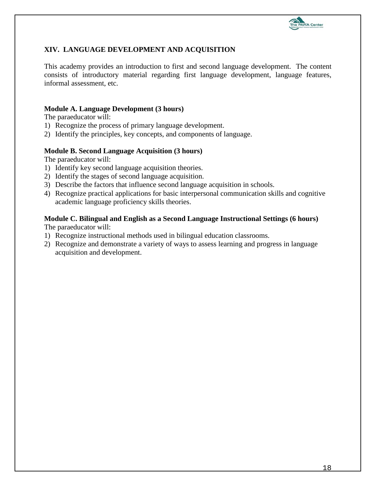

## <span id="page-17-0"></span>**XIV. LANGUAGE DEVELOPMENT AND ACQUISITION**

This academy provides an introduction to first and second language development. The content consists of introductory material regarding first language development, language features, informal assessment, etc.

#### **Module A. Language Development (3 hours)**

The paraeducator will:

- 1) Recognize the process of primary language development.
- 2) Identify the principles, key concepts, and components of language.

#### **Module B. Second Language Acquisition (3 hours)**

The paraeducator will:

- 1) Identify key second language acquisition theories.
- 2) Identify the stages of second language acquisition.
- 3) Describe the factors that influence second language acquisition in schools.
- 4) Recognize practical applications for basic interpersonal communication skills and cognitive academic language proficiency skills theories.

## **Module C. Bilingual and English as a Second Language Instructional Settings (6 hours)**

- 1) Recognize instructional methods used in bilingual education classrooms.
- 2) Recognize and demonstrate a variety of ways to assess learning and progress in language acquisition and development.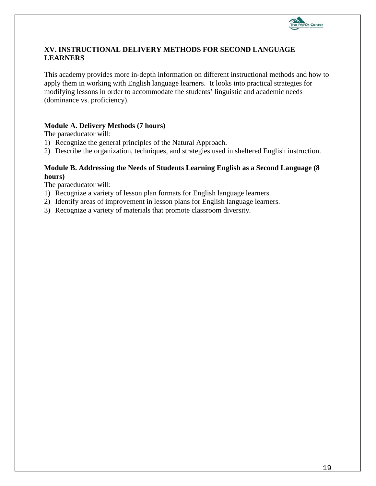

## <span id="page-18-0"></span>**XV. INSTRUCTIONAL DELIVERY METHODS FOR SECOND LANGUAGE LEARNERS**

This academy provides more in-depth information on different instructional methods and how to apply them in working with English language learners. It looks into practical strategies for modifying lessons in order to accommodate the students' linguistic and academic needs (dominance vs. proficiency).

### **Module A. Delivery Methods (7 hours)**

The paraeducator will:

- 1) Recognize the general principles of the Natural Approach.
- 2) Describe the organization, techniques, and strategies used in sheltered English instruction.

#### **Module B. Addressing the Needs of Students Learning English as a Second Language (8 hours)**

- 1) Recognize a variety of lesson plan formats for English language learners.
- 2) Identify areas of improvement in lesson plans for English language learners.
- 3) Recognize a variety of materials that promote classroom diversity.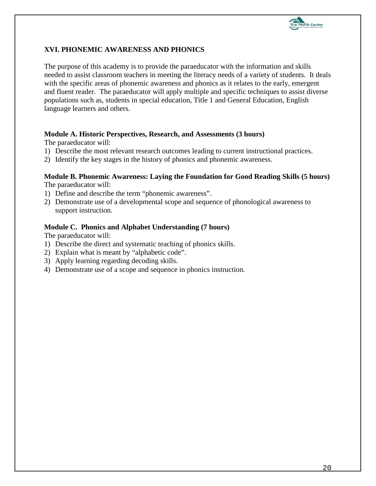

## <span id="page-19-0"></span>**XVI. PHONEMIC AWARENESS AND PHONICS**

The purpose of this academy is to provide the paraeducator with the information and skills needed to assist classroom teachers in meeting the literacy needs of a variety of students. It deals with the specific areas of phonemic awareness and phonics as it relates to the early, emergent and fluent reader. The paraeducator will apply multiple and specific techniques to assist diverse populations such as, students in special education, Title 1 and General Education, English language learners and others.

#### **Module A. Historic Perspectives, Research, and Assessments (3 hours)**

The paraeducator will:

- 1) Describe the most relevant research outcomes leading to current instructional practices.
- 2) Identify the key stages in the history of phonics and phonemic awareness.

#### **Module B. Phonemic Awareness: Laying the Foundation for Good Reading Skills (5 hours)** The paraeducator will:

- 1) Define and describe the term "phonemic awareness".
- 2) Demonstrate use of a developmental scope and sequence of phonological awareness to support instruction.

#### **Module C. Phonics and Alphabet Understanding (7 hours)**

- 1) Describe the direct and systematic teaching of phonics skills.
- 2) Explain what is meant by "alphabetic code".
- 3) Apply learning regarding decoding skills.
- 4) Demonstrate use of a scope and sequence in phonics instruction.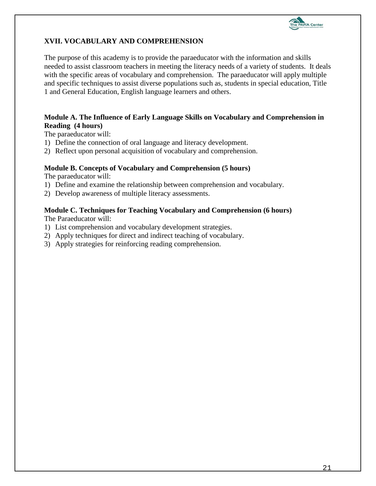

## <span id="page-20-0"></span>**XVII. VOCABULARY AND COMPREHENSION**

The purpose of this academy is to provide the paraeducator with the information and skills needed to assist classroom teachers in meeting the literacy needs of a variety of students. It deals with the specific areas of vocabulary and comprehension. The paraeducator will apply multiple and specific techniques to assist diverse populations such as, students in special education, Title 1 and General Education, English language learners and others.

#### **Module A. The Influence of Early Language Skills on Vocabulary and Comprehension in Reading (4 hours)**

The paraeducator will:

- 1) Define the connection of oral language and literacy development.
- 2) Reflect upon personal acquisition of vocabulary and comprehension.

#### **Module B. Concepts of Vocabulary and Comprehension (5 hours)**

The paraeducator will:

- 1) Define and examine the relationship between comprehension and vocabulary.
- 2) Develop awareness of multiple literacy assessments.

### **Module C. Techniques for Teaching Vocabulary and Comprehension (6 hours)**

- 1) List comprehension and vocabulary development strategies.
- 2) Apply techniques for direct and indirect teaching of vocabulary.
- 3) Apply strategies for reinforcing reading comprehension.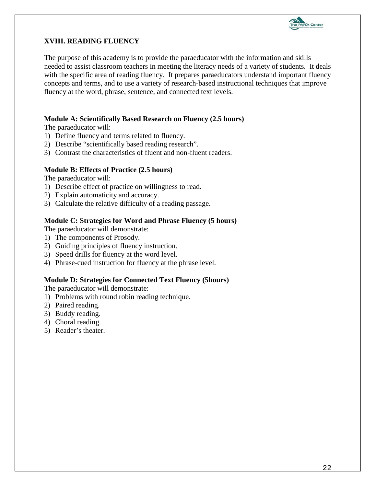

## <span id="page-21-0"></span>**XVIII. READING FLUENCY**

The purpose of this academy is to provide the paraeducator with the information and skills needed to assist classroom teachers in meeting the literacy needs of a variety of students. It deals with the specific area of reading fluency. It prepares paraeducators understand important fluency concepts and terms, and to use a variety of research-based instructional techniques that improve fluency at the word, phrase, sentence, and connected text levels.

## **Module A: Scientifically Based Research on Fluency (2.5 hours)**

The paraeducator will:

- 1) Define fluency and terms related to fluency.
- 2) Describe "scientifically based reading research".
- 3) Contrast the characteristics of fluent and non-fluent readers.

#### **Module B: Effects of Practice (2.5 hours)**

The paraeducator will:

- 1) Describe effect of practice on willingness to read.
- 2) Explain automaticity and accuracy.
- 3) Calculate the relative difficulty of a reading passage.

#### **Module C: Strategies for Word and Phrase Fluency (5 hours)**

The paraeducator will demonstrate:

- 1) The components of Prosody.
- 2) Guiding principles of fluency instruction.
- 3) Speed drills for fluency at the word level.
- 4) Phrase-cued instruction for fluency at the phrase level.

#### **Module D: Strategies for Connected Text Fluency (5hours)**

The paraeducator will demonstrate:

- 1) Problems with round robin reading technique.
- 2) Paired reading.
- 3) Buddy reading.
- 4) Choral reading.
- 5) Reader's theater.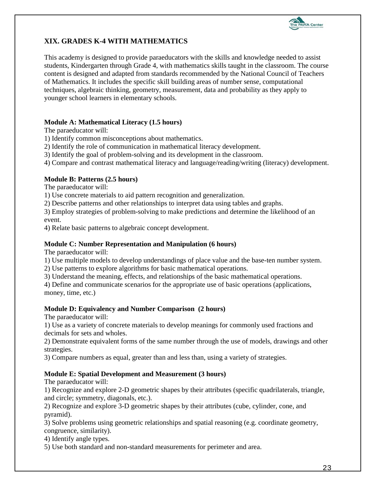

## <span id="page-22-0"></span>**XIX. GRADES K-4 WITH MATHEMATICS**

This academy is designed to provide paraeducators with the skills and knowledge needed to assist students, Kindergarten through Grade 4, with mathematics skills taught in the classroom. The course content is designed and adapted from standards recommended by the National Council of Teachers of Mathematics. It includes the specific skill building areas of number sense, computational techniques, algebraic thinking, geometry, measurement, data and probability as they apply to younger school learners in elementary schools.

### **Module A: Mathematical Literacy (1.5 hours)**

The paraeducator will:

1) Identify common misconceptions about mathematics.

2) Identify the role of communication in mathematical literacy development.

3) Identify the goal of problem-solving and its development in the classroom.

4) Compare and contrast mathematical literacy and language/reading/writing (literacy) development.

## **Module B: Patterns (2.5 hours)**

The paraeducator will:

1) Use concrete materials to aid pattern recognition and generalization.

2) Describe patterns and other relationships to interpret data using tables and graphs.

3) Employ strategies of problem-solving to make predictions and determine the likelihood of an event.

4) Relate basic patterns to algebraic concept development.

## **Module C: Number Representation and Manipulation (6 hours)**

The paraeducator will:

1) Use multiple models to develop understandings of place value and the base-ten number system.

2) Use patterns to explore algorithms for basic mathematical operations.

3) Understand the meaning, effects, and relationships of the basic mathematical operations.

4) Define and communicate scenarios for the appropriate use of basic operations (applications, money, time, etc.)

## **Module D: Equivalency and Number Comparison (2 hours)**

The paraeducator will:

1) Use as a variety of concrete materials to develop meanings for commonly used fractions and decimals for sets and wholes.

2) Demonstrate equivalent forms of the same number through the use of models, drawings and other strategies.

3) Compare numbers as equal, greater than and less than, using a variety of strategies.

#### **Module E: Spatial Development and Measurement (3 hours)**

The paraeducator will:

1) Recognize and explore 2-D geometric shapes by their attributes (specific quadrilaterals, triangle, and circle; symmetry, diagonals, etc.).

2) Recognize and explore 3-D geometric shapes by their attributes (cube, cylinder, cone, and pyramid).

3) Solve problems using geometric relationships and spatial reasoning (e.g. coordinate geometry, congruence, similarity).

4) Identify angle types.

5) Use both standard and non-standard measurements for perimeter and area.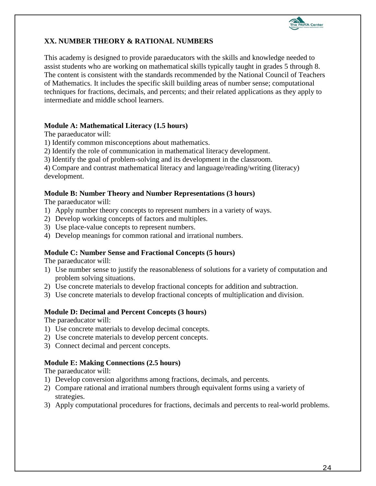

## <span id="page-23-0"></span>**XX. NUMBER THEORY & RATIONAL NUMBERS**

This academy is designed to provide paraeducators with the skills and knowledge needed to assist students who are working on mathematical skills typically taught in grades 5 through 8. The content is consistent with the standards recommended by the National Council of Teachers of Mathematics. It includes the specific skill building areas of number sense; computational techniques for fractions, decimals, and percents; and their related applications as they apply to intermediate and middle school learners.

## **Module A: Mathematical Literacy (1.5 hours)**

The paraeducator will:

1) Identify common misconceptions about mathematics.

2) Identify the role of communication in mathematical literacy development.

3) Identify the goal of problem-solving and its development in the classroom.

4) Compare and contrast mathematical literacy and language/reading/writing (literacy) development.

### **Module B: Number Theory and Number Representations (3 hours)**

The paraeducator will:

- 1) Apply number theory concepts to represent numbers in a variety of ways.
- 2) Develop working concepts of factors and multiples.
- 3) Use place-value concepts to represent numbers.
- 4) Develop meanings for common rational and irrational numbers.

#### **Module C: Number Sense and Fractional Concepts (5 hours)**

The paraeducator will:

- 1) Use number sense to justify the reasonableness of solutions for a variety of computation and problem solving situations.
- 2) Use concrete materials to develop fractional concepts for addition and subtraction.
- 3) Use concrete materials to develop fractional concepts of multiplication and division.

## **Module D: Decimal and Percent Concepts (3 hours)**

The paraeducator will:

- 1) Use concrete materials to develop decimal concepts.
- 2) Use concrete materials to develop percent concepts.
- 3) Connect decimal and percent concepts.

## **Module E: Making Connections (2.5 hours)**

- 1) Develop conversion algorithms among fractions, decimals, and percents.
- 2) Compare rational and irrational numbers through equivalent forms using a variety of strategies.
- 3) Apply computational procedures for fractions, decimals and percents to real-world problems.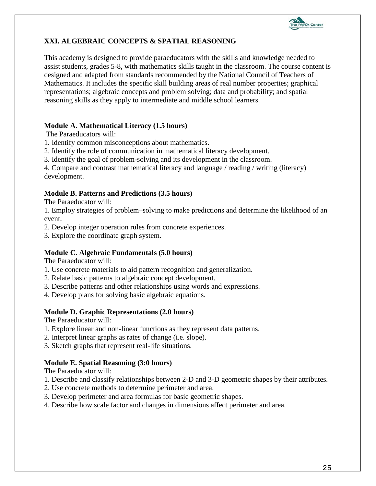

## <span id="page-24-0"></span>**XXI. ALGEBRAIC CONCEPTS & SPATIAL REASONING**

This academy is designed to provide paraeducators with the skills and knowledge needed to assist students, grades 5-8, with mathematics skills taught in the classroom. The course content is designed and adapted from standards recommended by the National Council of Teachers of Mathematics. It includes the specific skill building areas of real number properties; graphical representations; algebraic concepts and problem solving; data and probability; and spatial reasoning skills as they apply to intermediate and middle school learners.

## **Module A. Mathematical Literacy (1.5 hours)**

The Paraeducators will:

- 1. Identify common misconceptions about mathematics.
- 2. Identify the role of communication in mathematical literacy development.
- 3. Identify the goal of problem-solving and its development in the classroom.

4. Compare and contrast mathematical literacy and language / reading / writing (literacy) development.

#### **Module B. Patterns and Predictions (3.5 hours)**

The Paraeducator will:

1. Employ strategies of problem–solving to make predictions and determine the likelihood of an event.

2. Develop integer operation rules from concrete experiences.

3. Explore the coordinate graph system.

#### **Module C. Algebraic Fundamentals (5.0 hours)**

The Paraeducator will:

- 1. Use concrete materials to aid pattern recognition and generalization.
- 2. Relate basic patterns to algebraic concept development.
- 3. Describe patterns and other relationships using words and expressions.
- 4. Develop plans for solving basic algebraic equations.

#### **Module D. Graphic Representations (2.0 hours)**

The Paraeducator will:

- 1. Explore linear and non-linear functions as they represent data patterns.
- 2. Interpret linear graphs as rates of change (i.e. slope).
- 3. Sketch graphs that represent real-life situations.

#### **Module E. Spatial Reasoning (3:0 hours)**

- 1. Describe and classify relationships between 2-D and 3-D geometric shapes by their attributes.
- 2. Use concrete methods to determine perimeter and area.
- 3. Develop perimeter and area formulas for basic geometric shapes.
- 4. Describe how scale factor and changes in dimensions affect perimeter and area.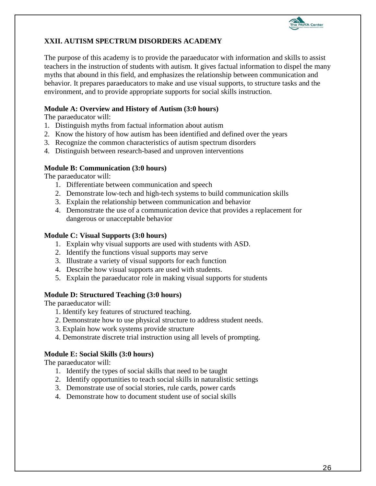

## <span id="page-25-0"></span>**XXII. AUTISM SPECTRUM DISORDERS ACADEMY**

The purpose of this academy is to provide the paraeducator with information and skills to assist teachers in the instruction of students with autism. It gives factual information to dispel the many myths that abound in this field, and emphasizes the relationship between communication and behavior. It prepares paraeducators to make and use visual supports, to structure tasks and the environment, and to provide appropriate supports for social skills instruction.

### **Module A: Overview and History of Autism (3:0 hours)**

The paraeducator will:

- 1. Distinguish myths from factual information about autism
- 2. Know the history of how autism has been identified and defined over the years
- 3. Recognize the common characteristics of autism spectrum disorders
- 4. Distinguish between research-based and unproven interventions

#### **Module B: Communication (3:0 hours)**

The paraeducator will:

- 1. Differentiate between communication and speech
- 2. Demonstrate low-tech and high-tech systems to build communication skills
- 3. Explain the relationship between communication and behavior
- 4. Demonstrate the use of a communication device that provides a replacement for dangerous or unacceptable behavior

#### **Module C: Visual Supports (3:0 hours)**

- 1. Explain why visual supports are used with students with ASD.
- 2. Identify the functions visual supports may serve
- 3. Illustrate a variety of visual supports for each function
- 4. Describe how visual supports are used with students.
- 5. Explain the paraeducator role in making visual supports for students

#### **Module D: Structured Teaching (3:0 hours)**

The paraeducator will:

- 1. Identify key features of structured teaching.
- 2. Demonstrate how to use physical structure to address student needs.
- 3. Explain how work systems provide structure
- 4. Demonstrate discrete trial instruction using all levels of prompting.

#### **Module E: Social Skills (3:0 hours)**

- 1. Identify the types of social skills that need to be taught
- 2. Identify opportunities to teach social skills in naturalistic settings
- 3. Demonstrate use of social stories, rule cards, power cards
- 4. Demonstrate how to document student use of social skills